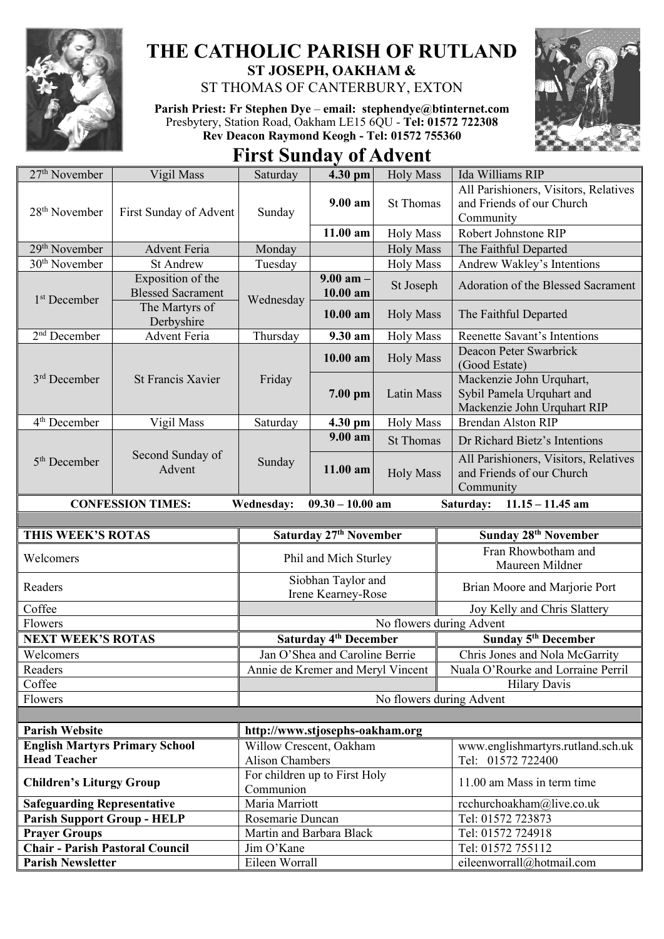

## **THE CATHOLIC PARISH OF RUTLAND ST JOSEPH, OAKHAM &**

ST THOMAS OF CANTERBURY, EXTON

**Parish Priest: Fr Stephen Dye** – **[email: stephendye@btinternet.com](mailto:email:%20%20stephendye@btinternet.com)** Presbytery, Station Road, Oakham LE15 6QU - **Tel: 01572 722308 Rev Deacon Raymond Keogh - Tel: 01572 755360**



**First Sunday of Advent**

| 27 <sup>th</sup> November                                                                              | Vigil Mass                 | Saturday                          | 4.30 pm                                 | <b>Holy Mass</b>              | Ida Williams RIP                               |
|--------------------------------------------------------------------------------------------------------|----------------------------|-----------------------------------|-----------------------------------------|-------------------------------|------------------------------------------------|
|                                                                                                        | First Sunday of Advent     | Sunday                            | 9.00 am                                 | <b>St Thomas</b>              | All Parishioners, Visitors, Relatives          |
| 28 <sup>th</sup> November                                                                              |                            |                                   |                                         |                               | and Friends of our Church                      |
|                                                                                                        |                            |                                   |                                         |                               | Community                                      |
|                                                                                                        |                            |                                   | 11.00 am                                | <b>Holy Mass</b>              | Robert Johnstone RIP                           |
| 29 <sup>th</sup> November                                                                              | <b>Advent Feria</b>        | Monday                            |                                         | <b>Holy Mass</b>              | The Faithful Departed                          |
| 30 <sup>th</sup> November                                                                              | <b>St Andrew</b>           | Tuesday                           |                                         | <b>Holy Mass</b>              | Andrew Wakley's Intentions                     |
| 1 <sup>st</sup> December                                                                               | Exposition of the          | Wednesday                         | $9.00$ am $-$<br>10.00 am<br>$10.00$ am | St Joseph<br><b>Holy Mass</b> | Adoration of the Blessed Sacrament             |
|                                                                                                        | <b>Blessed Sacrament</b>   |                                   |                                         |                               |                                                |
|                                                                                                        | The Martyrs of             |                                   |                                         |                               | The Faithful Departed                          |
|                                                                                                        | Derbyshire                 |                                   |                                         |                               |                                                |
| $2nd$ December                                                                                         | Advent Feria               | Thursday                          | 9.30 am                                 | <b>Holy Mass</b>              | Reenette Savant's Intentions                   |
|                                                                                                        | <b>St Francis Xavier</b>   | Friday                            | 10.00 am                                |                               | Deacon Peter Swarbrick                         |
|                                                                                                        |                            |                                   |                                         | <b>Holy Mass</b>              | (Good Estate)                                  |
| $3rd$ December                                                                                         |                            |                                   | 7.00 pm                                 | Latin Mass                    | Mackenzie John Urquhart,                       |
|                                                                                                        |                            |                                   |                                         |                               | Sybil Pamela Urquhart and                      |
|                                                                                                        |                            |                                   |                                         |                               | Mackenzie John Urquhart RIP                    |
| 4 <sup>th</sup> December                                                                               | Vigil Mass                 | Saturday                          | 4.30 pm                                 | <b>Holy Mass</b>              | <b>Brendan Alston RIP</b>                      |
|                                                                                                        |                            |                                   | 9.00 am                                 | <b>St Thomas</b>              | Dr Richard Bietz's Intentions                  |
|                                                                                                        | Second Sunday of<br>Advent | Sunday                            | 11.00 am                                | <b>Holy Mass</b>              | All Parishioners, Visitors, Relatives          |
| 5 <sup>th</sup> December                                                                               |                            |                                   |                                         |                               | and Friends of our Church                      |
|                                                                                                        |                            |                                   |                                         |                               | Community                                      |
|                                                                                                        |                            |                                   |                                         |                               |                                                |
| <b>CONFESSION TIMES:</b><br>$09.30 - 10.00$ am<br>Saturday:<br>$11.15 - 11.45$ am<br><b>Wednesday:</b> |                            |                                   |                                         |                               |                                                |
|                                                                                                        |                            |                                   |                                         |                               |                                                |
|                                                                                                        |                            |                                   |                                         |                               |                                                |
| THIS WEEK'S ROTAS                                                                                      |                            |                                   | Saturday 27 <sup>th</sup> November      |                               | Sunday 28 <sup>th</sup> November               |
| Welcomers                                                                                              |                            |                                   | Phil and Mich Sturley                   |                               | Fran Rhowbotham and                            |
|                                                                                                        |                            |                                   |                                         |                               | Maureen Mildner                                |
| Readers                                                                                                |                            |                                   | Siobhan Taylor and                      |                               | Brian Moore and Marjorie Port                  |
|                                                                                                        |                            |                                   | Irene Kearney-Rose                      |                               |                                                |
| Coffee                                                                                                 |                            |                                   |                                         |                               | Joy Kelly and Chris Slattery                   |
| Flowers                                                                                                |                            |                                   |                                         | No flowers during Advent      |                                                |
| <b>NEXT WEEK'S ROTAS</b>                                                                               |                            |                                   | Saturday 4 <sup>th</sup> December       |                               | Sunday 5 <sup>th</sup> December                |
| Welcomers                                                                                              |                            |                                   | Jan O'Shea and Caroline Berrie          |                               | Chris Jones and Nola McGarrity                 |
| Readers                                                                                                |                            | Annie de Kremer and Meryl Vincent |                                         |                               | Nuala O'Rourke and Lorraine Perril             |
| Coffee                                                                                                 |                            |                                   |                                         |                               | <b>Hilary Davis</b>                            |
| Flowers                                                                                                |                            |                                   |                                         | No flowers during Advent      |                                                |
|                                                                                                        |                            |                                   |                                         |                               |                                                |
| <b>Parish Website</b>                                                                                  |                            | http://www.stjosephs-oakham.org   |                                         |                               |                                                |
| <b>English Martyrs Primary School</b>                                                                  |                            | Willow Crescent, Oakham           |                                         |                               | www.englishmartyrs.rutland.sch.uk              |
| <b>Head Teacher</b>                                                                                    |                            | <b>Alison Chambers</b>            |                                         |                               | Tel: 01572 722400                              |
|                                                                                                        |                            | For children up to First Holy     |                                         |                               |                                                |
| <b>Children's Liturgy Group</b>                                                                        |                            | Communion                         |                                         |                               | 11.00 am Mass in term time                     |
| <b>Safeguarding Representative</b>                                                                     |                            | Maria Marriott                    |                                         |                               | rcchurchoakham@live.co.uk                      |
| <b>Parish Support Group - HELP</b>                                                                     |                            | Rosemarie Duncan                  |                                         |                               | Tel: 01572 723873                              |
| <b>Prayer Groups</b>                                                                                   |                            | Martin and Barbara Black          |                                         |                               | Tel: 01572 724918                              |
| <b>Chair - Parish Pastoral Council</b><br><b>Parish Newsletter</b>                                     |                            | Jim O'Kane<br>Eileen Worrall      |                                         |                               | Tel: 01572 755112<br>eileenworrall@hotmail.com |